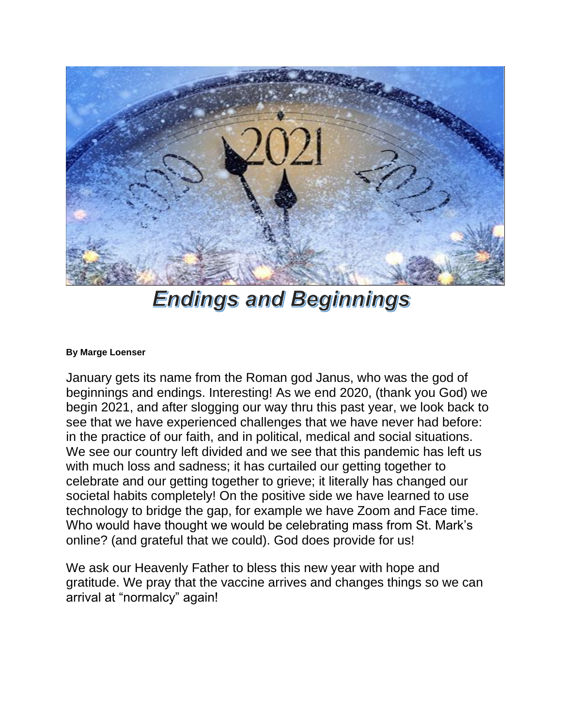

## **Endings and Beginnings**

## **By Marge Loenser**

January gets its name from the Roman god Janus, who was the god of beginnings and endings. Interesting! As we end 2020, (thank you God) we begin 2021, and after slogging our way thru this past year, we look back to see that we have experienced challenges that we have never had before: in the practice of our faith, and in political, medical and social situations. We see our country left divided and we see that this pandemic has left us with much loss and sadness; it has curtailed our getting together to celebrate and our getting together to grieve; it literally has changed our societal habits completely! On the positive side we have learned to use technology to bridge the gap, for example we have Zoom and Face time. Who would have thought we would be celebrating mass from St. Mark's online? (and grateful that we could). God does provide for us!

We ask our Heavenly Father to bless this new year with hope and gratitude. We pray that the vaccine arrives and changes things so we can arrival at "normalcy" again!